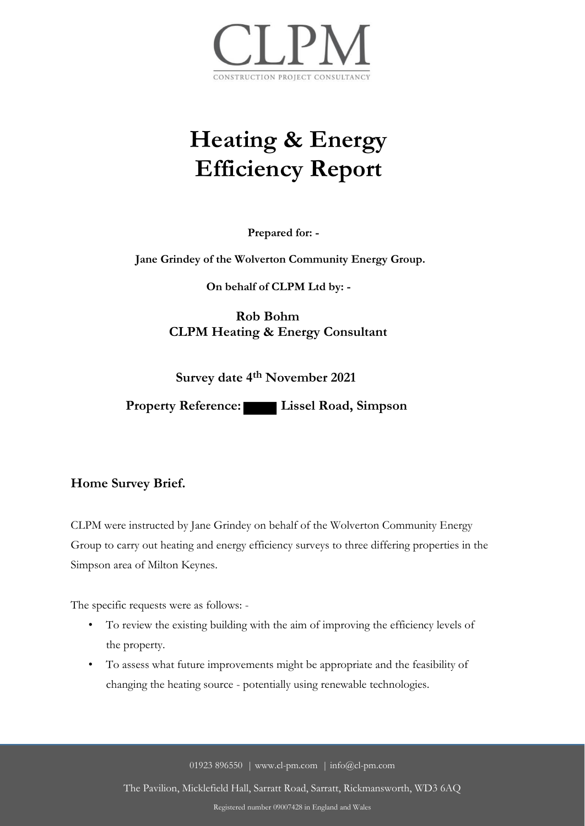

# **Heating & Energy Efficiency Report**

**Prepared for: -**

**Jane Grindey of the Wolverton Community Energy Group.**

**On behalf of CLPM Ltd by: -**

**Rob Bohm CLPM Heating & Energy Consultant**

**Survey date 4th November 2021**

**Property Reference:** Lissel Road, Simpson

## **Home Survey Brief.**

CLPM were instructed by Jane Grindey on behalf of the Wolverton Community Energy Group to carry out heating and energy efficiency surveys to three differing properties in the Simpson area of Milton Keynes.

The specific requests were as follows: -

- To review the existing building with the aim of improving the efficiency levels of the property.
- To assess what future improvements might be appropriate and the feasibility of changing the heating source - potentially using renewable technologies.

01923 896550 | www.cl-pm.com | info@cl-pm.com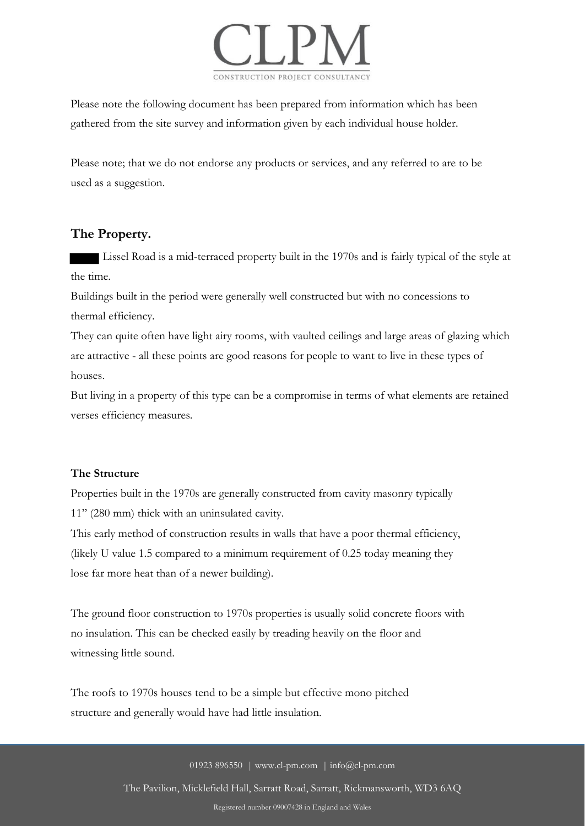

Please note the following document has been prepared from information which has been gathered from the site survey and information given by each individual house holder.

Please note; that we do not endorse any products or services, and any referred to are to be used as a suggestion.

## **The Property.**

 Lissel Road is a mid-terraced property built in the 1970s and is fairly typical of the style at the time.

Buildings built in the period were generally well constructed but with no concessions to thermal efficiency.

They can quite often have light airy rooms, with vaulted ceilings and large areas of glazing which are attractive - all these points are good reasons for people to want to live in these types of houses.

But living in a property of this type can be a compromise in terms of what elements are retained verses efficiency measures.

### **The Structure**

Properties built in the 1970s are generally constructed from cavity masonry typically 11'' (280 mm) thick with an uninsulated cavity.

This early method of construction results in walls that have a poor thermal efficiency, (likely U value 1.5 compared to a minimum requirement of 0.25 today meaning they lose far more heat than of a newer building).

The ground floor construction to 1970s properties is usually solid concrete floors with no insulation. This can be checked easily by treading heavily on the floor and witnessing little sound.

The roofs to 1970s houses tend to be a simple but effective mono pitched structure and generally would have had little insulation.

01923 896550 | www.cl-pm.com | info@cl-pm.com

The Pavilion, Micklefield Hall, Sarratt Road, Sarratt, Rickmansworth, WD3 6AQ

Registered number 09007428 in England and Wales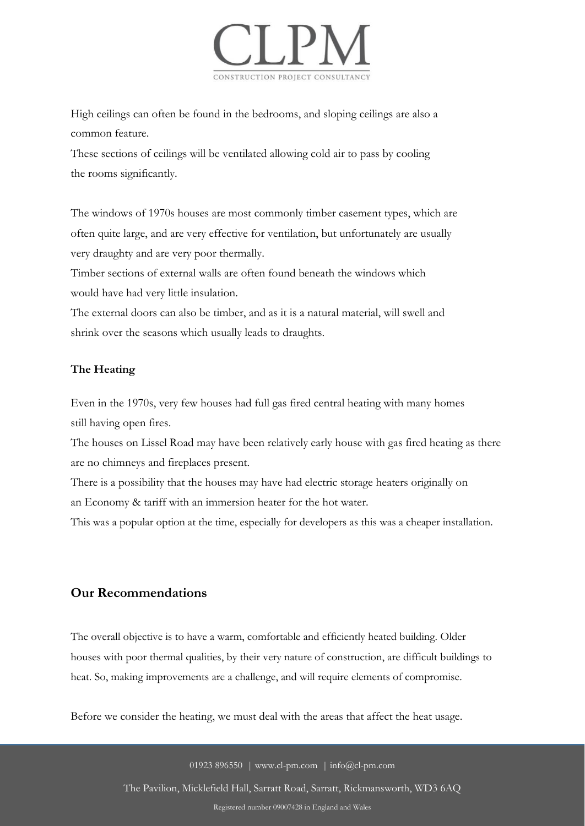

High ceilings can often be found in the bedrooms, and sloping ceilings are also a common feature.

These sections of ceilings will be ventilated allowing cold air to pass by cooling the rooms significantly.

The windows of 1970s houses are most commonly timber casement types, which are often quite large, and are very effective for ventilation, but unfortunately are usually very draughty and are very poor thermally.

Timber sections of external walls are often found beneath the windows which would have had very little insulation.

The external doors can also be timber, and as it is a natural material, will swell and shrink over the seasons which usually leads to draughts.

### **The Heating**

Even in the 1970s, very few houses had full gas fired central heating with many homes still having open fires.

The houses on Lissel Road may have been relatively early house with gas fired heating as there are no chimneys and fireplaces present.

There is a possibility that the houses may have had electric storage heaters originally on an Economy & tariff with an immersion heater for the hot water.

This was a popular option at the time, especially for developers as this was a cheaper installation.

## **Our Recommendations**

The overall objective is to have a warm, comfortable and efficiently heated building. Older houses with poor thermal qualities, by their very nature of construction, are difficult buildings to heat. So, making improvements are a challenge, and will require elements of compromise.

Before we consider the heating, we must deal with the areas that affect the heat usage.

01923 896550 | www.cl-pm.com | info@cl-pm.com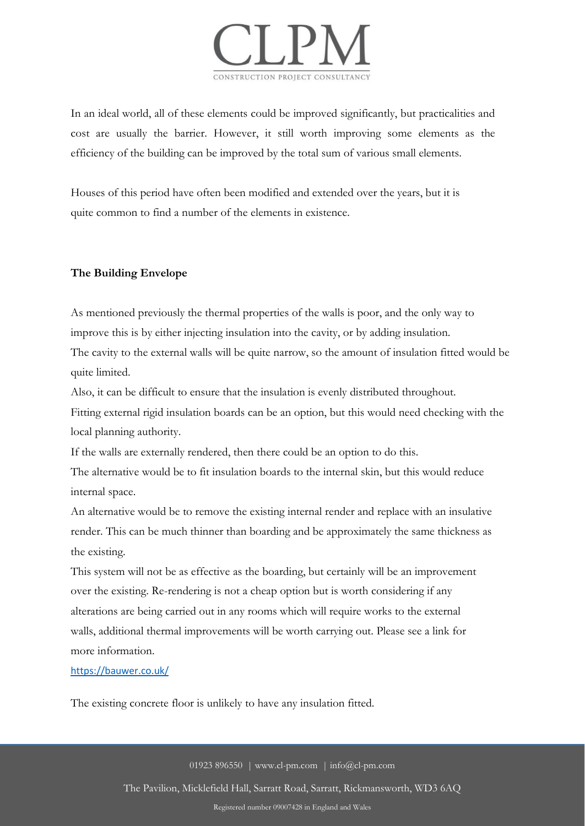

In an ideal world, all of these elements could be improved significantly, but practicalities and cost are usually the barrier. However, it still worth improving some elements as the efficiency of the building can be improved by the total sum of various small elements.

Houses of this period have often been modified and extended over the years, but it is quite common to find a number of the elements in existence.

#### **The Building Envelope**

As mentioned previously the thermal properties of the walls is poor, and the only way to improve this is by either injecting insulation into the cavity, or by adding insulation. The cavity to the external walls will be quite narrow, so the amount of insulation fitted would be quite limited.

Also, it can be difficult to ensure that the insulation is evenly distributed throughout.

Fitting external rigid insulation boards can be an option, but this would need checking with the local planning authority.

If the walls are externally rendered, then there could be an option to do this.

The alternative would be to fit insulation boards to the internal skin, but this would reduce internal space.

An alternative would be to remove the existing internal render and replace with an insulative render. This can be much thinner than boarding and be approximately the same thickness as the existing.

This system will not be as effective as the boarding, but certainly will be an improvement over the existing. Re-rendering is not a cheap option but is worth considering if any alterations are being carried out in any rooms which will require works to the external walls, additional thermal improvements will be worth carrying out. Please see a link for more information.

https://bauwer.co.uk/

The existing concrete floor is unlikely to have any insulation fitted.

01923 896550 | www.cl-pm.com | info@cl-pm.com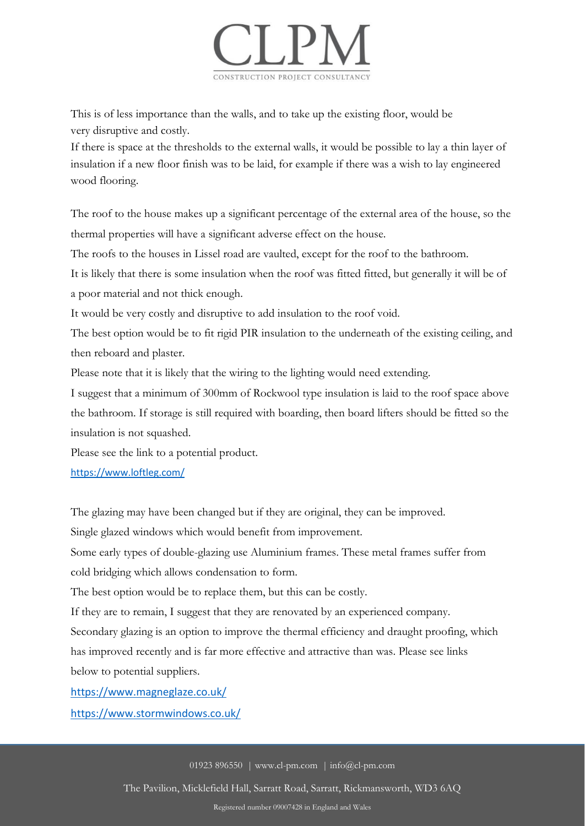

This is of less importance than the walls, and to take up the existing floor, would be very disruptive and costly.

If there is space at the thresholds to the external walls, it would be possible to lay a thin layer of insulation if a new floor finish was to be laid, for example if there was a wish to lay engineered wood flooring.

The roof to the house makes up a significant percentage of the external area of the house, so the thermal properties will have a significant adverse effect on the house.

The roofs to the houses in Lissel road are vaulted, except for the roof to the bathroom.

It is likely that there is some insulation when the roof was fitted fitted, but generally it will be of a poor material and not thick enough.

It would be very costly and disruptive to add insulation to the roof void.

The best option would be to fit rigid PIR insulation to the underneath of the existing ceiling, and then reboard and plaster.

Please note that it is likely that the wiring to the lighting would need extending.

I suggest that a minimum of 300mm of Rockwool type insulation is laid to the roof space above the bathroom. If storage is still required with boarding, then board lifters should be fitted so the insulation is not squashed.

Please see the link to a potential product.

https://www.loftleg.com/

The glazing may have been changed but if they are original, they can be improved.

Single glazed windows which would benefit from improvement.

Some early types of double-glazing use Aluminium frames. These metal frames suffer from cold bridging which allows condensation to form.

The best option would be to replace them, but this can be costly.

If they are to remain, I suggest that they are renovated by an experienced company.

Secondary glazing is an option to improve the thermal efficiency and draught proofing, which has improved recently and is far more effective and attractive than was. Please see links below to potential suppliers.

https://www.magneglaze.co.uk/

https://www.stormwindows.co.uk/

01923 896550 | www.cl-pm.com | info@cl-pm.com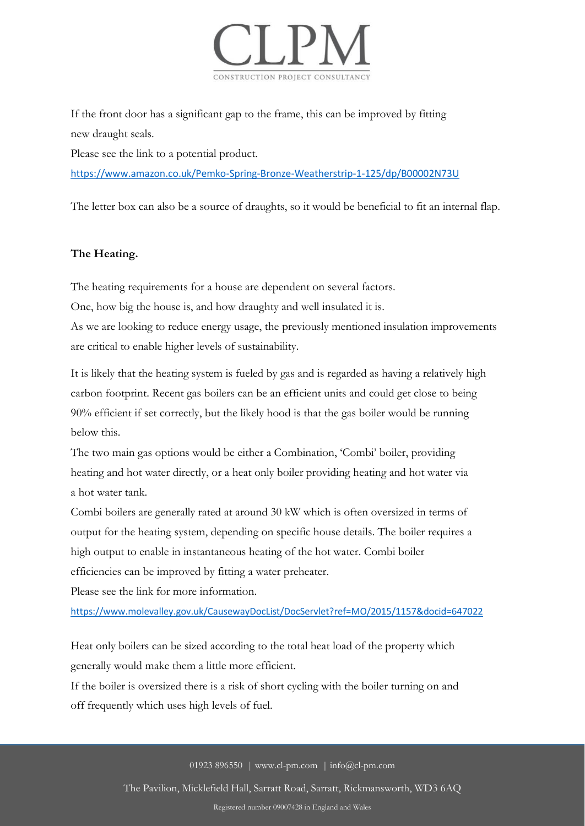

If the front door has a significant gap to the frame, this can be improved by fitting new draught seals.

Please see the link to a potential product.

https://www.amazon.co.uk/Pemko-Spring-Bronze-Weatherstrip-1-125/dp/B00002N73U

The letter box can also be a source of draughts, so it would be beneficial to fit an internal flap.

## **The Heating.**

The heating requirements for a house are dependent on several factors.

One, how big the house is, and how draughty and well insulated it is.

As we are looking to reduce energy usage, the previously mentioned insulation improvements are critical to enable higher levels of sustainability.

It is likely that the heating system is fueled by gas and is regarded as having a relatively high carbon footprint. Recent gas boilers can be an efficient units and could get close to being 90% efficient if set correctly, but the likely hood is that the gas boiler would be running below this.

The two main gas options would be either a Combination, 'Combi' boiler, providing heating and hot water directly, or a heat only boiler providing heating and hot water via a hot water tank.

Combi boilers are generally rated at around 30 kW which is often oversized in terms of output for the heating system, depending on specific house details. The boiler requires a high output to enable in instantaneous heating of the hot water. Combi boiler efficiencies can be improved by fitting a water preheater.

Please see the link for more information.

https://www.molevalley.gov.uk/CausewayDocList/DocServlet?ref=MO/2015/1157&docid=647022

Heat only boilers can be sized according to the total heat load of the property which generally would make them a little more efficient.

If the boiler is oversized there is a risk of short cycling with the boiler turning on and off frequently which uses high levels of fuel.

01923 896550 | www.cl-pm.com | info@cl-pm.com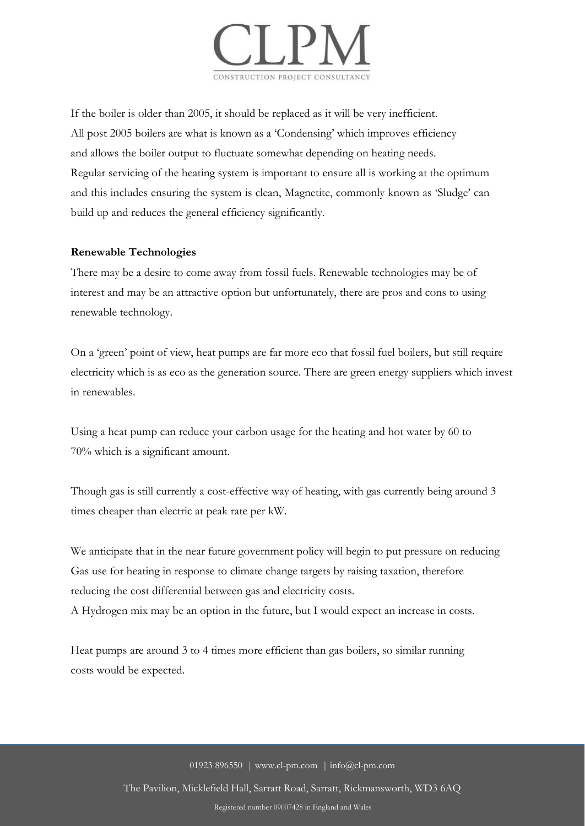

If the boiler is older than 2005, it should be replaced as it will be very inefficient. All post 2005 boilers are what is known as a 'Condensing' which improves efficiency and allows the boiler output to fluctuate somewhat depending on heating needs. Regular servicing of the heating system is important to ensure all is working at the optimum and this includes ensuring the system is clean, Magnetite, commonly known as 'Sludge' can build up and reduces the general efficiency significantly.

#### **Renewable Technologies**

There may be a desire to come away from fossil fuels. Renewable technologies may be of interest and may be an attractive option but unfortunately, there are pros and cons to using renewable technology.

On a 'green' point of view, heat pumps are far more eco that fossil fuel boilers, but still require electricity which is as eco as the generation source. There are green energy suppliers which invest in renewables.

Using a heat pump can reduce your carbon usage for the heating and hot water by 60 to 70% which is a significant amount.

Though gas is still currently a cost-effective way of heating, with gas currently being around 3 times cheaper than electric at peak rate per kW.

We anticipate that in the near future government policy will begin to put pressure on reducing Gas use for heating in response to climate change targets by raising taxation, therefore reducing the cost differential between gas and electricity costs.

A Hydrogen mix may be an option in the future, but I would expect an increase in costs.

Heat pumps are around 3 to 4 times more efficient than gas boilers, so similar running costs would be expected.

01923 896550 | www.cl-pm.com | info@cl-pm.com

The Pavilion, Micklefield Hall, Sarratt Road, Sarratt, Rickmansworth, WD3 6AQ

Registered number 09007428 in England and Wales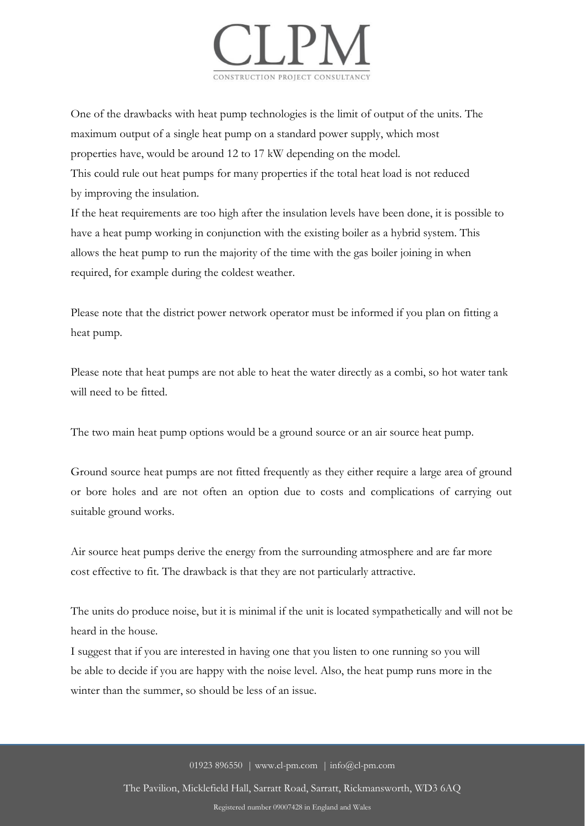

One of the drawbacks with heat pump technologies is the limit of output of the units. The maximum output of a single heat pump on a standard power supply, which most properties have, would be around 12 to 17 kW depending on the model. This could rule out heat pumps for many properties if the total heat load is not reduced

by improving the insulation.

If the heat requirements are too high after the insulation levels have been done, it is possible to have a heat pump working in conjunction with the existing boiler as a hybrid system. This allows the heat pump to run the majority of the time with the gas boiler joining in when required, for example during the coldest weather.

Please note that the district power network operator must be informed if you plan on fitting a heat pump.

Please note that heat pumps are not able to heat the water directly as a combi, so hot water tank will need to be fitted.

The two main heat pump options would be a ground source or an air source heat pump.

Ground source heat pumps are not fitted frequently as they either require a large area of ground or bore holes and are not often an option due to costs and complications of carrying out suitable ground works.

Air source heat pumps derive the energy from the surrounding atmosphere and are far more cost effective to fit. The drawback is that they are not particularly attractive.

The units do produce noise, but it is minimal if the unit is located sympathetically and will not be heard in the house.

I suggest that if you are interested in having one that you listen to one running so you will be able to decide if you are happy with the noise level. Also, the heat pump runs more in the winter than the summer, so should be less of an issue.

01923 896550 | www.cl-pm.com | info@cl-pm.com

The Pavilion, Micklefield Hall, Sarratt Road, Sarratt, Rickmansworth, WD3 6AQ Registered number 09007428 in England and Wales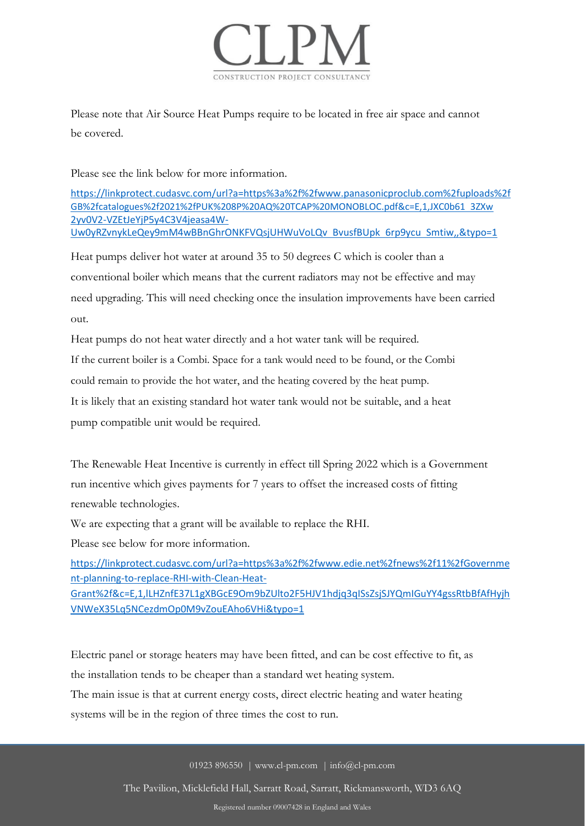

Please note that Air Source Heat Pumps require to be located in free air space and cannot be covered.

Please see the link below for more information.

https://linkprotect.cudasvc.com/url?a=https%3a%2f%2fwww.panasonicproclub.com%2fuploads%2f GB%2fcatalogues%2f2021%2fPUK%208P%20AQ%20TCAP%20MONOBLOC.pdf&c=E,1,JXC0b61 3ZXw 2yv0V2-VZEtJeYjP5y4C3V4jeasa4W-Uw0yRZvnykLeQey9mM4wBBnGhrONKFVQsjUHWuVoLQv BvusfBUpk 6rp9ycu Smtiw,,&typo=1

Heat pumps deliver hot water at around 35 to 50 degrees C which is cooler than a conventional boiler which means that the current radiators may not be effective and may need upgrading. This will need checking once the insulation improvements have been carried out.

Heat pumps do not heat water directly and a hot water tank will be required.

If the current boiler is a Combi. Space for a tank would need to be found, or the Combi

could remain to provide the hot water, and the heating covered by the heat pump.

It is likely that an existing standard hot water tank would not be suitable, and a heat

pump compatible unit would be required.

The Renewable Heat Incentive is currently in effect till Spring 2022 which is a Government run incentive which gives payments for 7 years to offset the increased costs of fitting renewable technologies.

We are expecting that a grant will be available to replace the RHI.

Please see below for more information.

https://linkprotect.cudasvc.com/url?a=https%3a%2f%2fwww.edie.net%2fnews%2f11%2fGovernme nt-planning-to-replace-RHI-with-Clean-Heat-

Grant%2f&c=E,1,lLHZnfE37L1gXBGcE9Om9bZUlto2F5HJV1hdjq3qISsZsjSJYQmIGuYY4gssRtbBfAfHyjh VNWeX35Lq5NCezdmOp0M9vZouEAho6VHi&typo=1

Electric panel or storage heaters may have been fitted, and can be cost effective to fit, as the installation tends to be cheaper than a standard wet heating system.

The main issue is that at current energy costs, direct electric heating and water heating systems will be in the region of three times the cost to run.

01923 896550 | www.cl-pm.com | info@cl-pm.com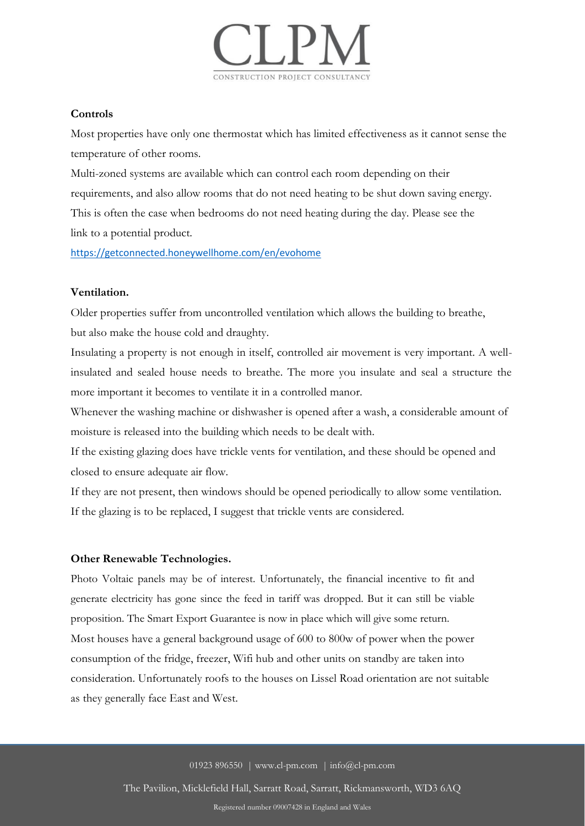

#### **Controls**

Most properties have only one thermostat which has limited effectiveness as it cannot sense the temperature of other rooms.

Multi-zoned systems are available which can control each room depending on their requirements, and also allow rooms that do not need heating to be shut down saving energy. This is often the case when bedrooms do not need heating during the day. Please see the link to a potential product.

https://getconnected.honeywellhome.com/en/evohome

#### **Ventilation.**

Older properties suffer from uncontrolled ventilation which allows the building to breathe, but also make the house cold and draughty.

Insulating a property is not enough in itself, controlled air movement is very important. A wellinsulated and sealed house needs to breathe. The more you insulate and seal a structure the more important it becomes to ventilate it in a controlled manor.

Whenever the washing machine or dishwasher is opened after a wash, a considerable amount of moisture is released into the building which needs to be dealt with.

If the existing glazing does have trickle vents for ventilation, and these should be opened and closed to ensure adequate air flow.

If they are not present, then windows should be opened periodically to allow some ventilation. If the glazing is to be replaced, I suggest that trickle vents are considered.

#### **Other Renewable Technologies.**

Photo Voltaic panels may be of interest. Unfortunately, the financial incentive to fit and generate electricity has gone since the feed in tariff was dropped. But it can still be viable proposition. The Smart Export Guarantee is now in place which will give some return. Most houses have a general background usage of 600 to 800w of power when the power consumption of the fridge, freezer, Wifi hub and other units on standby are taken into consideration. Unfortunately roofs to the houses on Lissel Road orientation are not suitable as they generally face East and West.

01923 896550 | www.cl-pm.com | info@cl-pm.com

The Pavilion, Micklefield Hall, Sarratt Road, Sarratt, Rickmansworth, WD3 6AQ

Registered number 09007428 in England and Wales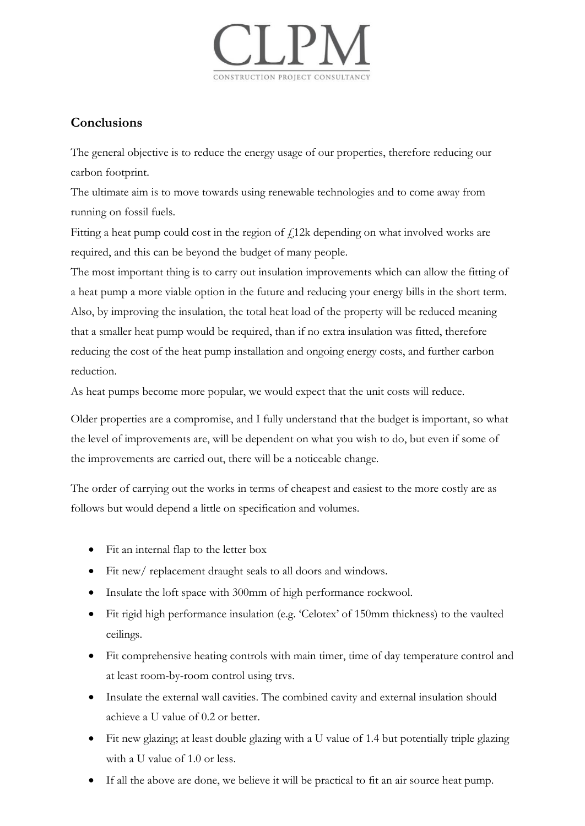

# **Conclusions**

The general objective is to reduce the energy usage of our properties, therefore reducing our carbon footprint.

The ultimate aim is to move towards using renewable technologies and to come away from running on fossil fuels.

Fitting a heat pump could cost in the region of  $f<sub>i</sub>12k$  depending on what involved works are required, and this can be beyond the budget of many people.

The most important thing is to carry out insulation improvements which can allow the fitting of a heat pump a more viable option in the future and reducing your energy bills in the short term. Also, by improving the insulation, the total heat load of the property will be reduced meaning that a smaller heat pump would be required, than if no extra insulation was fitted, therefore reducing the cost of the heat pump installation and ongoing energy costs, and further carbon reduction.

As heat pumps become more popular, we would expect that the unit costs will reduce.

Older properties are a compromise, and I fully understand that the budget is important, so what the level of improvements are, will be dependent on what you wish to do, but even if some of the improvements are carried out, there will be a noticeable change.

The order of carrying out the works in terms of cheapest and easiest to the more costly are as follows but would depend a little on specification and volumes.

- Fit an internal flap to the letter box
- Fit new/ replacement draught seals to all doors and windows.
- Insulate the loft space with 300mm of high performance rockwool.
- Fit rigid high performance insulation (e.g. 'Celotex' of 150mm thickness) to the vaulted ceilings.
- Fit comprehensive heating controls with main timer, time of day temperature control and at least room-by-room control using trvs.
- Insulate the external wall cavities. The combined cavity and external insulation should achieve a U value of 0.2 or better.
- Fit new glazing; at least double glazing with a U value of 1.4 but potentially triple glazing with a U value of 1.0 or less.
- If all the above are done, we believe it will be practical to fit an air source heat pump.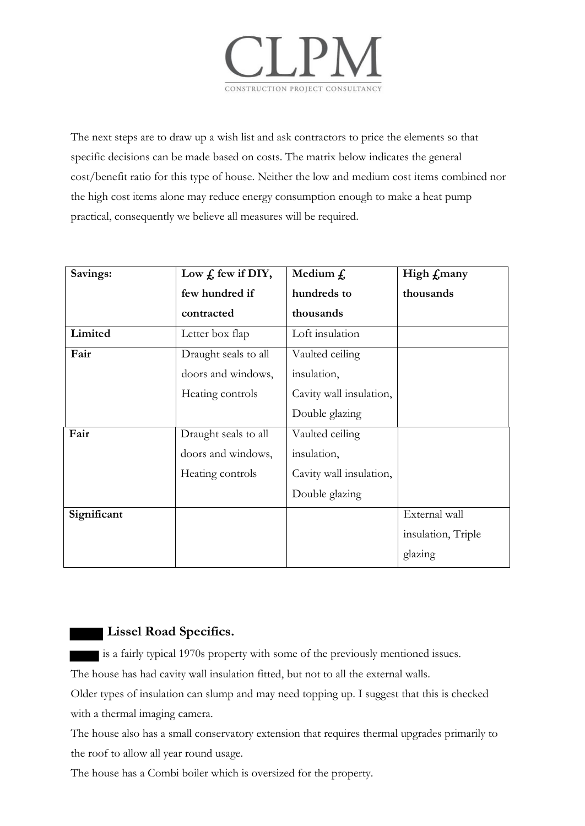

The next steps are to draw up a wish list and ask contractors to price the elements so that specific decisions can be made based on costs. The matrix below indicates the general cost/benefit ratio for this type of house. Neither the low and medium cost items combined nor the high cost items alone may reduce energy consumption enough to make a heat pump practical, consequently we believe all measures will be required.

| Savings:    | Low $f$ , few if DIY, | Medium $f$ .            | High <i>f</i> many |
|-------------|-----------------------|-------------------------|--------------------|
|             | few hundred if        | hundreds to             | thousands          |
|             | contracted            | thousands               |                    |
| Limited     | Letter box flap       | Loft insulation         |                    |
| Fair        | Draught seals to all  | Vaulted ceiling         |                    |
|             | doors and windows,    | insulation,             |                    |
|             | Heating controls      | Cavity wall insulation, |                    |
|             |                       | Double glazing          |                    |
| Fair        | Draught seals to all  | Vaulted ceiling         |                    |
|             | doors and windows,    | insulation,             |                    |
|             | Heating controls      | Cavity wall insulation, |                    |
|             |                       | Double glazing          |                    |
| Significant |                       |                         | External wall      |
|             |                       |                         | insulation, Triple |
|             |                       |                         | glazing            |

## **Lissel Road Specifics.**

is a fairly typical 1970s property with some of the previously mentioned issues.

The house has had cavity wall insulation fitted, but not to all the external walls.

Older types of insulation can slump and may need topping up. I suggest that this is checked with a thermal imaging camera.

The house also has a small conservatory extension that requires thermal upgrades primarily to the roof to allow all year round usage.

The house has a Combi boiler which is oversized for the property.